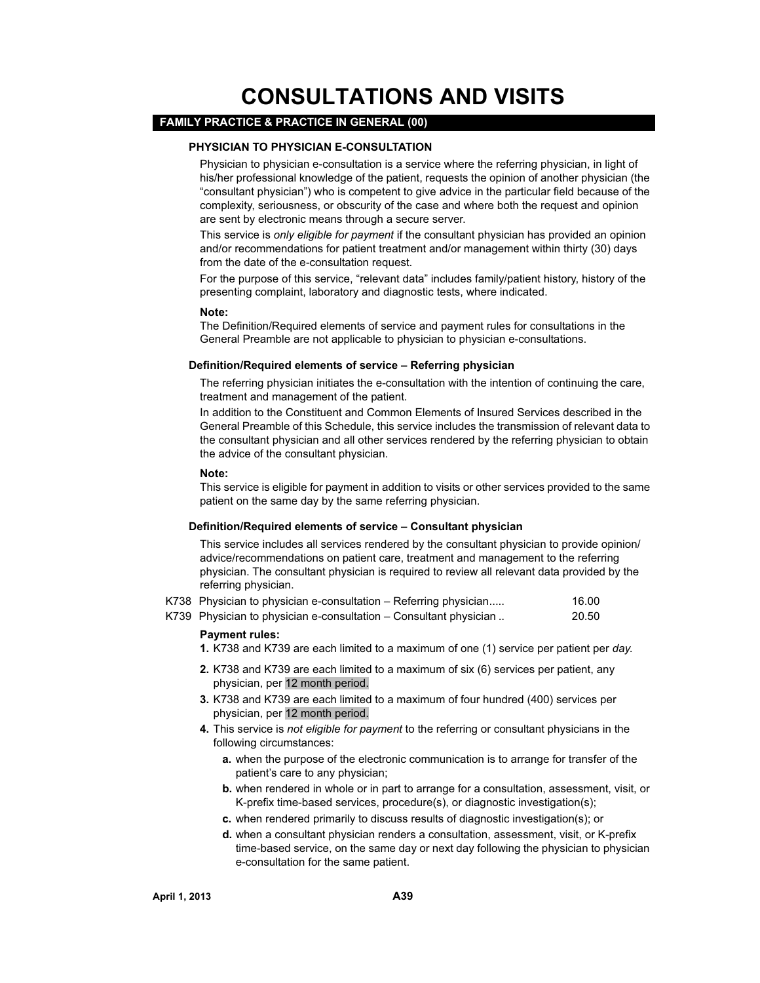# **CONSULTATIONS AND VISITS**

# **FAMILY PRACTICE & PRACTICE IN GENERAL (00)**

#### **PHYSICIAN TO PHYSICIAN E-CONSULTATION**

Physician to physician e-consultation is a service where the referring physician, in light of his/her professional knowledge of the patient, requests the opinion of another physician (the "consultant physician") who is competent to give advice in the particular field because of the complexity, seriousness, or obscurity of the case and where both the request and opinion are sent by electronic means through a secure server.

This service is *only eligible for payment* if the consultant physician has provided an opinion and/or recommendations for patient treatment and/or management within thirty (30) days from the date of the e-consultation request.

For the purpose of this service, "relevant data" includes family/patient history, history of the presenting complaint, laboratory and diagnostic tests, where indicated.

#### **Note:**

The Definition/Required elements of service and payment rules for consultations in the General Preamble are not applicable to physician to physician e-consultations.

#### **Definition/Required elements of service – Referring physician**

The referring physician initiates the e-consultation with the intention of continuing the care, treatment and management of the patient.

In addition to the Constituent and Common Elements of Insured Services described in the General Preamble of this Schedule, this service includes the transmission of relevant data to the consultant physician and all other services rendered by the referring physician to obtain the advice of the consultant physician.

#### **Note:**

This service is eligible for payment in addition to visits or other services provided to the same patient on the same day by the same referring physician.

#### **Definition/Required elements of service – Consultant physician**

This service includes all services rendered by the consultant physician to provide opinion/ advice/recommendations on patient care, treatment and management to the referring physician. The consultant physician is required to review all relevant data provided by the referring physician.

|  |  | K738 Physician to physician e-consultation - Referring physician | 16.00 |
|--|--|------------------------------------------------------------------|-------|
|--|--|------------------------------------------------------------------|-------|

K739 Physician to physician e-consultation – Consultant physician .. 20.50

#### **Payment rules:**

**1.** K738 and K739 are each limited to a maximum of one (1) service per patient per *day*.

- **2.** K738 and K739 are each limited to a maximum of six (6) services per patient, any physician, per 12 month period.
- **3.** K738 and K739 are each limited to a maximum of four hundred (400) services per physician, per 12 month period.
- **4.** This service is *not eligible for payment* to the referring or consultant physicians in the following circumstances:
	- **a.** when the purpose of the electronic communication is to arrange for transfer of the patient's care to any physician;
	- **b.** when rendered in whole or in part to arrange for a consultation, assessment, visit, or K-prefix time-based services, procedure(s), or diagnostic investigation(s);
	- **c.** when rendered primarily to discuss results of diagnostic investigation(s); or
	- **d.** when a consultant physician renders a consultation, assessment, visit, or K-prefix time-based service, on the same day or next day following the physician to physician e-consultation for the same patient.